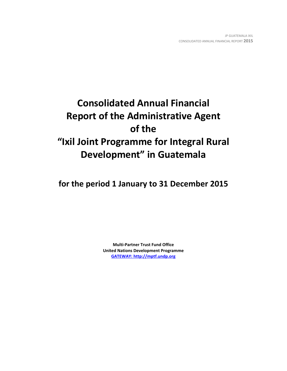# **Consolidated Annual Financial Report of the Administrative Agent of the "Ixil Joint Programme for Integral Rural Development" in Guatemala**

**for the period 1 January to 31 December 2015**

**Multi-Partner Trust Fund Office United Nations Development Programme [GATEWAY: http://mptf.undp.org](http://mptf.undp.org/)**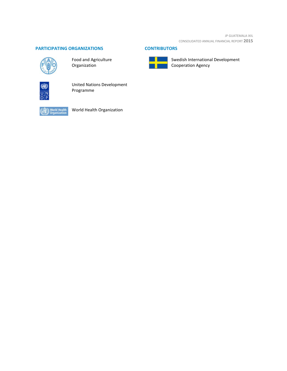JP GUATEMALA IXIL CONSOLIDATED ANNUAL FINANCIAL REPORT **2015**

# **PARTICIPATING ORGANIZATIONS CONTRIBUTORS**



Food and Agriculture Organization



United Nations Development Programme



World Health Organization



Swedish International Development Cooperation Agency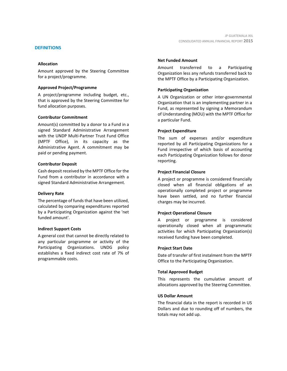#### **DEFINITIONS**

#### **Allocation**

Amount approved by the Steering Committee for a project/programme.

#### **Approved Project/Programme**

A project/programme including budget, etc., that is approved by the Steering Committee for fund allocation purposes.

## **Contributor Commitment**

Amount(s) committed by a donor to a Fund in a signed Standard Administrative Arrangement with the UNDP Multi-Partner Trust Fund Office (MPTF Office), in its capacity as the Administrative Agent. A commitment may be paid or pending payment.

#### **Contributor Deposit**

Cash deposit received by the MPTF Office for the Fund from a contributor in accordance with a signed Standard Administrative Arrangement.

#### **Delivery Rate**

The percentage of funds that have been utilized, calculated by comparing expenditures reported by a Participating Organization against the 'net funded amount'.

#### **Indirect Support Costs**

A general cost that cannot be directly related to any particular programme or activity of the Participating Organizations. UNDG policy establishes a fixed indirect cost rate of 7% of programmable costs.

## **Net Funded Amount**

Amount transferred to a Participating Organization less any refunds transferred back to the MPTF Office by a Participating Organization.

# **Participating Organization**

A UN Organization or other inter-governmental Organization that is an implementing partner in a Fund, as represented by signing a Memorandum of Understanding (MOU) with the MPTF Office for a particular Fund.

## **Project Expenditure**

The sum of expenses and/or expenditure reported by all Participating Organizations for a Fund irrespective of which basis of accounting each Participating Organization follows for donor reporting.

## **Project Financial Closure**

A project or programme is considered financially closed when all financial obligations of an operationally completed project or programme have been settled, and no further financial charges may be incurred.

# **Project Operational Closure**

A project or programme is considered operationally closed when all programmatic activities for which Participating Organization(s) received funding have been completed.

#### **Project Start Date**

Date of transfer of first instalment from the MPTF Office to the Participating Organization.

#### **Total Approved Budget**

This represents the cumulative amount of allocations approved by the Steering Committee.

#### **US Dollar Amount**

The financial data in the report is recorded in US Dollars and due to rounding off of numbers, the totals may not add up.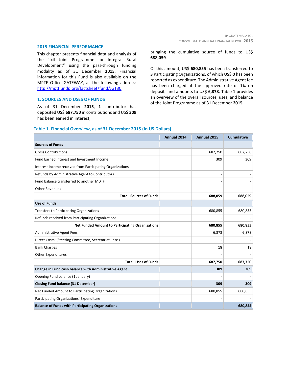#### **2015 FINANCIAL PERFORMANCE**

This chapter presents financial data and analysis of the "Ixil Joint Programme for Integral Rural Development" using the pass-through funding modality as of 31 December **2015**. Financial information for this Fund is also available on the MPTF Office GATEWAY, at the following address: [http://mptf.undp.org/factsheet/fund/JGT30.](http://mptf.undp.org/factsheet/fund/JGT30)

### **1. SOURCES AND USES OF FUNDS**

As of 31 December **2015**, **1** contributor has deposited US\$ **687,750** in contributions and US\$ **309** has been earned in interest,

bringing the cumulative source of funds to US\$ **688,059**.

Of this amount, US\$ **680,855** has been transferred to **3** Participating Organizations, of which US\$ **0** has been reported as expenditure. The Administrative Agent fee has been charged at the approved rate of 1% on deposits and amounts to US\$ **6,878**. Table 1 provides an overview of the overall sources, uses, and balance of the Joint Programme as of 31 December **2015**.

# **Table 1. Financial Overview, as of 31 December 2015 (in US Dollars)**

|                                                           | Annual 2014 | Annual 2015 | <b>Cumulative</b> |
|-----------------------------------------------------------|-------------|-------------|-------------------|
| <b>Sources of Funds</b>                                   |             |             |                   |
| <b>Gross Contributions</b>                                |             | 687,750     | 687,750           |
| Fund Earned Interest and Investment Income                |             | 309         | 309               |
| Interest Income received from Participating Organizations |             |             |                   |
| Refunds by Administrative Agent to Contributors           |             |             |                   |
| Fund balance transferred to another MDTF                  |             |             |                   |
| <b>Other Revenues</b>                                     |             |             |                   |
| <b>Total: Sources of Funds</b>                            |             | 688,059     | 688,059           |
| <b>Use of Funds</b>                                       |             |             |                   |
| Transfers to Participating Organizations                  |             | 680,855     | 680,855           |
| Refunds received from Participating Organizations         |             |             |                   |
| <b>Net Funded Amount to Participating Organizations</b>   |             | 680,855     | 680,855           |
| <b>Administrative Agent Fees</b>                          |             | 6,878       | 6,878             |
| Direct Costs: (Steering Committee, Secretariatetc.)       |             |             |                   |
| <b>Bank Charges</b>                                       |             | 18          | 18                |
| Other Expenditures                                        |             |             |                   |
| <b>Total: Uses of Funds</b>                               |             | 687,750     | 687,750           |
| Change in Fund cash balance with Administrative Agent     |             | 309         | 309               |
| Opening Fund balance (1 January)                          |             |             |                   |
| <b>Closing Fund balance (31 December)</b>                 |             | 309         | 309               |
| Net Funded Amount to Participating Organizations          |             | 680,855     | 680,855           |
| Participating Organizations' Expenditure                  |             |             |                   |
| <b>Balance of Funds with Participating Organizations</b>  |             |             | 680,855           |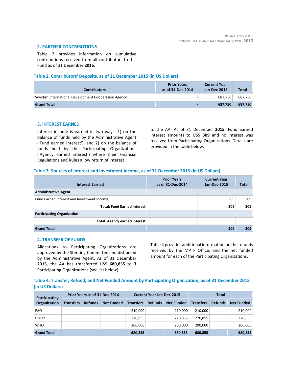# **2. PARTNER CONTRIBUTIONS**

Table 2 provides information on cumulative contributions received from all contributors to this Fund as of 31 December **2015**.

## **Table 2. Contributors' Deposits, as of 31 December 2015 (in US Dollars)**

| <b>Contributors</b>                                  | <b>Prior Years</b><br>as of 31-Dec-2014 | <b>Current Year</b><br>Jan-Dec-2015 | <b>Total</b> |
|------------------------------------------------------|-----------------------------------------|-------------------------------------|--------------|
| Swedish International Development Cooperation Agency |                                         | 687.750                             | 687,750      |
| <b>Grand Total</b>                                   |                                         | 687.750                             | 687,750      |

## **3. INTEREST EARNED**

Interest income is earned in two ways: 1) on the balance of funds held by the Administrative Agent ('Fund earned interest'), and 2) on the balance of funds held by the Participating Organizations ('Agency earned interest') where their Financial Regulations and Rules allow return of interest

to the AA. As of 31 December **2015**, Fund earned interest amounts to US\$ **309** and no interest was received from Participating Organizations. Details are provided in the table below.

## **Table 3. Sources of Interest and Investment Income, as of 31 December 2015 (in US Dollars)**

| <b>Interest Earned</b>                     | <b>Prior Years</b><br>as of 31-Dec-2014 | <b>Current Year</b><br>Jan-Dec-2015 | Total |
|--------------------------------------------|-----------------------------------------|-------------------------------------|-------|
| <b>Administrative Agent</b>                |                                         |                                     |       |
| Fund Earned Interest and Investment Income |                                         | 309                                 | 309   |
| <b>Total: Fund Earned Interest</b>         |                                         | 309                                 | 309   |
| <b>Participating Organization</b>          |                                         |                                     |       |
| <b>Total: Agency earned interest</b>       |                                         |                                     |       |
| <b>Grand Total</b>                         |                                         | 309                                 | 309   |

#### **4. TRANSFER OF FUNDS**

Allocations to Participating Organizations are approved by the Steering Committee and disbursed by the Administrative Agent. As of 31 December **2015**, the AA has transferred US\$ **680,855** to **3** Participating Organizations (see list below).

Table 4 provides additional information on the refunds received by the MPTF Office, and the net funded amount for each of the Participating Organizations.

**Table 4. Transfer, Refund, and Net Funded Amount by Participating Organization, as of 31 December 2015 (in US Dollars)**

| Participating      | Prior Years as of 31-Dec-2014 |                |                   | <b>Current Year Jan-Dec-2015</b> |                |                   | Total            |                |                   |
|--------------------|-------------------------------|----------------|-------------------|----------------------------------|----------------|-------------------|------------------|----------------|-------------------|
| Organization       | <b>Transfers</b>              | <b>Refunds</b> | <b>Net Funded</b> | <b>Transfers</b>                 | <b>Refunds</b> | <b>Net Funded</b> | <b>Transfers</b> | <b>Refunds</b> | <b>Net Funded</b> |
| <b>FAO</b>         |                               |                |                   | 210,000                          |                | 210.000           | 210.000          |                | 210,000           |
| <b>UNDP</b>        |                               |                |                   | 270,855                          |                | 270.855           | 270.855          |                | 270,855           |
| <b>WHO</b>         |                               |                |                   | 200,000                          |                | 200.000           | 200.000          |                | 200,000           |
| <b>Grand Total</b> |                               |                |                   | 680,855                          |                | 680,855           | 680.855          |                | 680,855           |